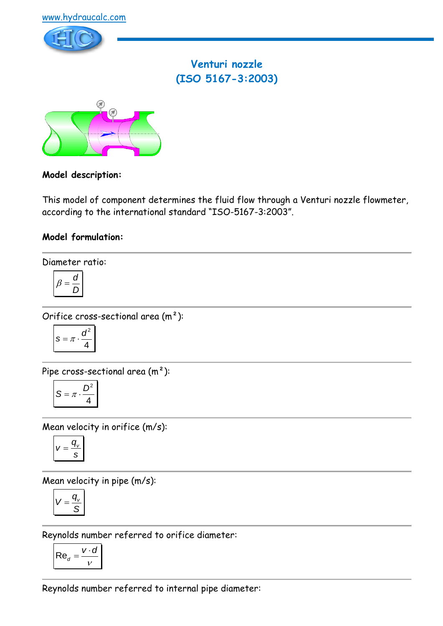



# **Venturi nozzle (ISO 5167-3:2003)**



### **Model description:**

This model of component determines the fluid flow through a Venturi nozzle flowmeter, according to the international standard "ISO-5167-3:2003".

### **Model formulation:**

Diameter ratio:

$$
\beta = \frac{d}{D}
$$

Orifice cross-sectional area (m²):

$$
s = \pi \cdot \frac{d^2}{4}
$$

Pipe cross-sectional area (m²):

$$
S = \pi \cdot \frac{D^2}{4}
$$

Mean velocity in orifice (m/s):

$$
V=\frac{q_v}{s}
$$

Mean velocity in pipe (m/s):

$$
V=\frac{q_{v}}{S}
$$

Reynolds number referred to orifice diameter:

$$
\mathsf{Re}_d = \frac{v \cdot d}{v}
$$

Reynolds number referred to internal pipe diameter: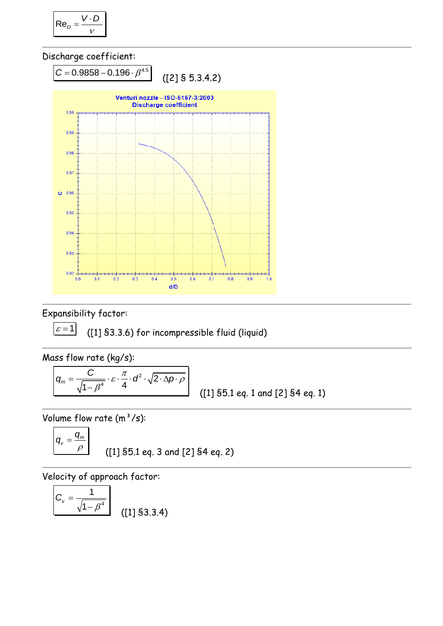$$
\mathsf{Re}_D = \frac{V \cdot D}{V}
$$





Expansibility factor:

 $\varepsilon = 1$ 

([1] §3.3.6) for incompressible fluid (liquid)

Mass flow rate (kg/s):

2  $\frac{1}{4} \cdot \varepsilon \cdot \frac{\pi}{4} \cdot d^2 \cdot \sqrt{2}$  $\sqrt{1-\beta^4}$  4  $q_m =$  $q_m = \frac{C}{\sqrt{4 \cdot \rho^4} \cdot \varepsilon \cdot \frac{\pi}{4} \cdot \rho^2 \cdot \sqrt{2 \cdot \Delta p \cdot \rho}}$  $\beta$  $=\frac{C}{\sqrt{1-a^4}} \cdot \varepsilon \cdot \frac{\pi}{4} \cdot d^2 \cdot \sqrt{2 \cdot \Delta p \cdot \rho}$ −

([1] §5.1 eq. 1 and [2] §4 eq. 1)

Volume flow rate  $(m^3/s)$ :

$$
q_v = \frac{q_m}{\rho}
$$
 ([1] §5.1 eq. 3 and [2] §4 eq. 2)

Velocity of approach factor:

$$
C_v = \frac{1}{\sqrt{1 - \beta^4}}
$$
 (11) \$3.3.4)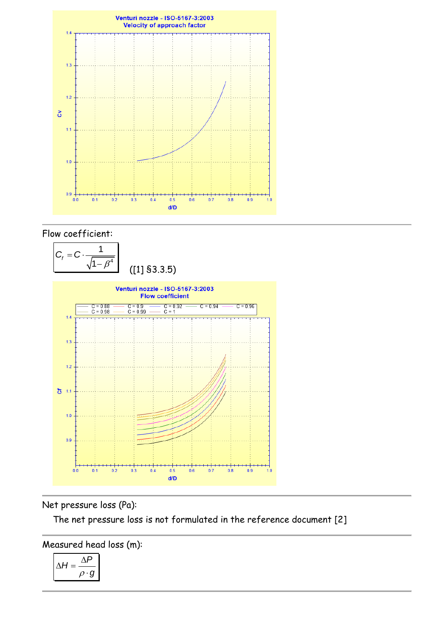

### Flow coefficient:



## Net pressure loss (Pa):

The net pressure loss is not formulated in the reference document [2]

Measured head loss (m):

$$
\Delta H = \frac{\Delta P}{\rho \cdot g}
$$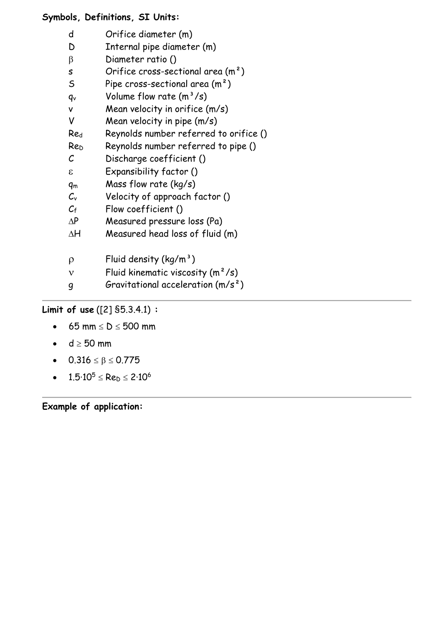### **Symbols, Definitions, SI Units:**

- d Orifice diameter (m)
- D Internal pipe diameter (m)
- $\beta$  Diameter ratio ()
- s Orifice cross-sectional area (m<sup>2</sup>)
- S Pipe cross-sectional area  $(m<sup>2</sup>)$
- $q_v$  Volume flow rate  $(m^3/s)$
- v Mean velocity in orifice (m/s)
- V Mean velocity in pipe  $(m/s)$
- Re<sup>d</sup> Reynolds number referred to orifice ()
- Re<sup>D</sup> Reynolds number referred to pipe ()
- C Discharge coefficient ()
- Expansibility factor ()
- q<sup>m</sup> Mass flow rate (kg/s)
- $C_v$  Velocity of approach factor ()
- $C_f$  Flow coefficient ()
- $\Delta P$  Measured pressure loss (Pa)
- $\Delta H$  Measured head loss of fluid (m)
- $\rho$  Fluid density (kg/m<sup>3</sup>)
- $v$  Fluid kinematic viscosity  $(m^2/s)$
- g Gravitational acceleration (m/s²)

## **Limit of use** ([2] §5.3.4.1) **:**

- 65 mm  $\leq D \leq 500$  mm
- $d \geq 50$  mm
- $0.316 \le \beta \le 0.775$
- $1.5 \cdot 10^5 \leq Re_b \leq 2 \cdot 10^6$

**Example of application:**